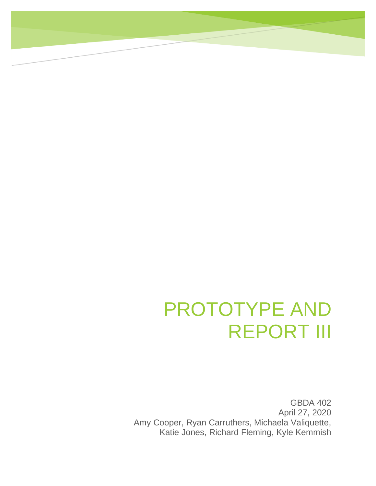## PROTOTYPE AND REPORT III

GBDA 402 April 27, 2020 Amy Cooper, Ryan Carruthers, Michaela Valiquette, Katie Jones, Richard Fleming, Kyle Kemmish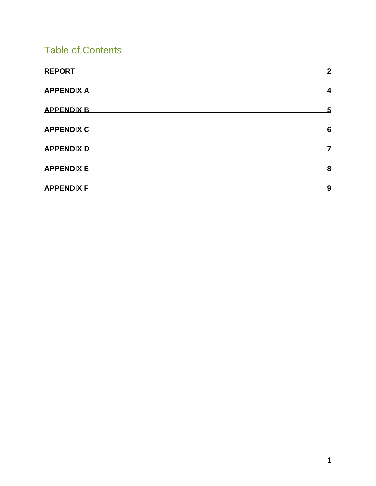## Table of Contents

| <b>REPORT</b>     | $\overline{2}$          |
|-------------------|-------------------------|
| <b>APPENDIX A</b> | $\overline{\mathbf{4}}$ |
| <b>APPENDIX B</b> | 5                       |
| <b>APPENDIX C</b> | 6                       |
| <b>APPENDIX D</b> | 7                       |
| <b>APPENDIX E</b> | 8                       |
| <b>APPENDIX F</b> | <u>9</u>                |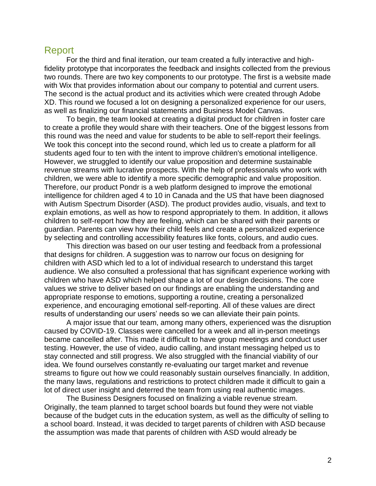#### <span id="page-2-0"></span>Report

For the third and final iteration, our team created a fully interactive and highfidelity prototype that incorporates the feedback and insights collected from the previous two rounds. There are two key components to our prototype. The first is a website made with Wix that provides information about our company to potential and current users. The second is the actual product and its activities which were created through Adobe XD. This round we focused a lot on designing a personalized experience for our users, as well as finalizing our financial statements and Business Model Canvas.

To begin, the team looked at creating a digital product for children in foster care to create a profile they would share with their teachers. One of the biggest lessons from this round was the need and value for students to be able to self-report their feelings. We took this concept into the second round, which led us to create a platform for all students aged four to ten with the intent to improve children's emotional intelligence. However, we struggled to identify our value proposition and determine sustainable revenue streams with lucrative prospects. With the help of professionals who work with children, we were able to identify a more specific demographic and value proposition. Therefore, our product Pondr is a web platform designed to improve the emotional intelligence for children aged 4 to 10 in Canada and the US that have been diagnosed with Autism Spectrum Disorder (ASD). The product provides audio, visuals, and text to explain emotions, as well as how to respond appropriately to them. In addition, it allows children to self-report how they are feeling, which can be shared with their parents or guardian. Parents can view how their child feels and create a personalized experience by selecting and controlling accessibility features like fonts, colours, and audio cues.

 This direction was based on our user testing and feedback from a professional that designs for children. A suggestion was to narrow our focus on designing for children with ASD which led to a lot of individual research to understand this target audience. We also consulted a professional that has significant experience working with children who have ASD which helped shape a lot of our design decisions. The core values we strive to deliver based on our findings are enabling the understanding and appropriate response to emotions, supporting a routine, creating a personalized experience, and encouraging emotional self-reporting. All of these values are direct results of understanding our users' needs so we can alleviate their pain points.

A major issue that our team, among many others, experienced was the disruption caused by COVID-19. Classes were cancelled for a week and all in-person meetings became cancelled after. This made it difficult to have group meetings and conduct user testing. However, the use of video, audio calling, and instant messaging helped us to stay connected and still progress. We also struggled with the financial viability of our idea. We found ourselves constantly re-evaluating our target market and revenue streams to figure out how we could reasonably sustain ourselves financially. In addition, the many laws, regulations and restrictions to protect children made it difficult to gain a lot of direct user insight and deterred the team from using real authentic images.

The Business Designers focused on finalizing a viable revenue stream. Originally, the team planned to target school boards but found they were not viable because of the budget cuts in the education system, as well as the difficulty of selling to a school board. Instead, it was decided to target parents of children with ASD because the assumption was made that parents of children with ASD would already be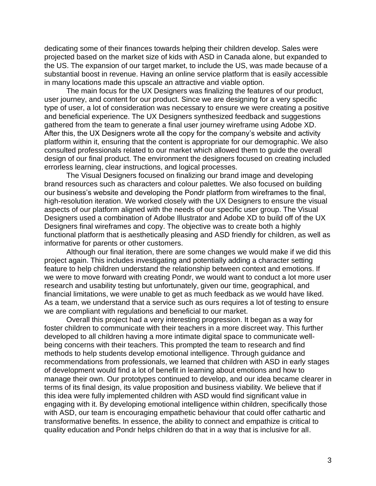dedicating some of their finances towards helping their children develop. Sales were projected based on the market size of kids with ASD in Canada alone, but expanded to the US. The expansion of our target market, to include the US, was made because of a substantial boost in revenue. Having an online service platform that is easily accessible in many locations made this upscale an attractive and viable option.

The main focus for the UX Designers was finalizing the features of our product, user journey, and content for our product. Since we are designing for a very specific type of user, a lot of consideration was necessary to ensure we were creating a positive and beneficial experience. The UX Designers synthesized feedback and suggestions gathered from the team to generate a final user journey wireframe using Adobe XD. After this, the UX Designers wrote all the copy for the company's website and activity platform within it, ensuring that the content is appropriate for our demographic. We also consulted professionals related to our market which allowed them to guide the overall design of our final product. The environment the designers focused on creating included errorless learning, clear instructions, and logical processes.

The Visual Designers focused on finalizing our brand image and developing brand resources such as characters and colour palettes. We also focused on building our business's website and developing the Pondr platform from wireframes to the final, high-resolution iteration. We worked closely with the UX Designers to ensure the visual aspects of our platform aligned with the needs of our specific user group. The Visual Designers used a combination of Adobe Illustrator and Adobe XD to build off of the UX Designers final wireframes and copy. The objective was to create both a highly functional platform that is aesthetically pleasing and ASD friendly for children, as well as informative for parents or other customers.

Although our final iteration, there are some changes we would make if we did this project again. This includes investigating and potentially adding a character setting feature to help children understand the relationship between context and emotions. If we were to move forward with creating Pondr, we would want to conduct a lot more user research and usability testing but unfortunately, given our time, geographical, and financial limitations, we were unable to get as much feedback as we would have liked. As a team, we understand that a service such as ours requires a lot of testing to ensure we are compliant with regulations and beneficial to our market.

Overall this project had a very interesting progression. It began as a way for foster children to communicate with their teachers in a more discreet way. This further developed to all children having a more intimate digital space to communicate wellbeing concerns with their teachers. This prompted the team to research and find methods to help students develop emotional intelligence. Through guidance and recommendations from professionals, we learned that children with ASD in early stages of development would find a lot of benefit in learning about emotions and how to manage their own. Our prototypes continued to develop, and our idea became clearer in terms of its final design, its value proposition and business viability. We believe that if this idea were fully implemented children with ASD would find significant value in engaging with it. By developing emotional intelligence within children, specifically those with ASD, our team is encouraging empathetic behaviour that could offer cathartic and transformative benefits. In essence, the ability to connect and empathize is critical to quality education and Pondr helps children do that in a way that is inclusive for all.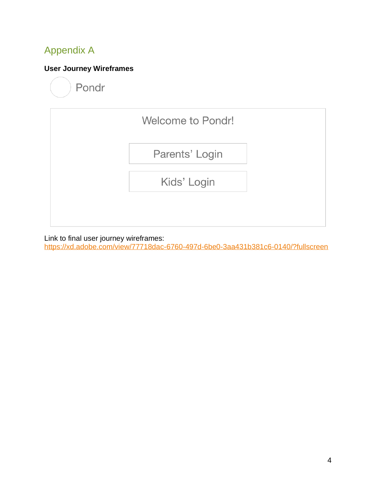## <span id="page-4-0"></span>Appendix A

### **User Journey Wireframes**

Pondr



Link to final user journey wireframes:

<https://xd.adobe.com/view/77718dac-6760-497d-6be0-3aa431b381c6-0140/?fullscreen>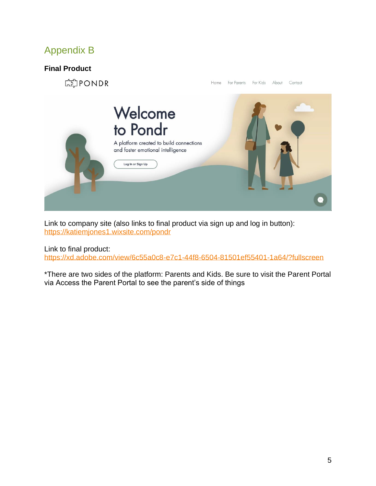## <span id="page-5-0"></span>Appendix B

#### **Final Product**



Link to company site (also links to final product via sign up and log in button): <https://katiemjones1.wixsite.com/pondr>

Link to final product:

<https://xd.adobe.com/view/6c55a0c8-e7c1-44f8-6504-81501ef55401-1a64/?fullscreen>

\*There are two sides of the platform: Parents and Kids. Be sure to visit the Parent Portal via Access the Parent Portal to see the parent's side of things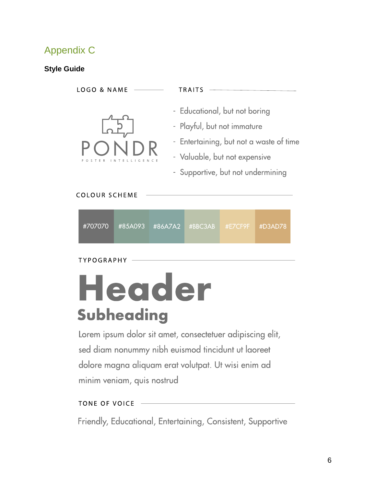## <span id="page-6-0"></span>Appendix C

#### **Style Guide**

**LOGO & NAME** TRAITS - Educational, but not boring - Playful, but not immature - Entertaining, but not a waste of time - Valuable, but not expensive - Supportive, but not undermining **COLOUR SCHEME** 

#707070 #86A7A2 #85A093 #BBC3AB #D3AD78

**TYPOGRAPHY** 

# Header Subheading

Lorem ipsum dolor sit amet, consectetuer adipiscing elit, sed diam nonummy nibh euismod tincidunt ut laoreet dolore magna aliquam erat volutpat. Ut wisi enim ad minim veniam, quis nostrud

#### **TONE OF VOICE**

Friendly, Educational, Entertaining, Consistent, Supportive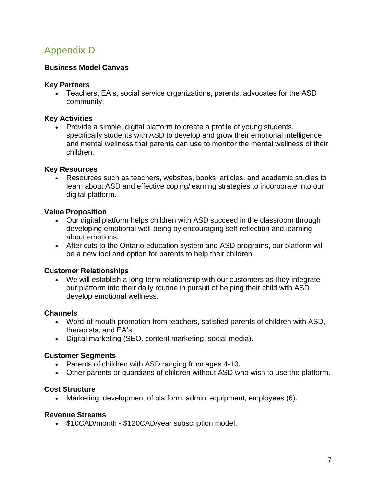## <span id="page-7-0"></span>Appendix D

#### **Business Model Canvas**

#### **Key Partners**

• Teachers, EA's, social service organizations, parents, advocates for the ASD community.

#### **Key Activities**

• Provide a simple, digital platform to create a profile of young students, specifically students with ASD to develop and grow their emotional intelligence and mental wellness that parents can use to monitor the mental wellness of their children.

#### **Key Resources**

• Resources such as teachers, websites, books, articles, and academic studies to learn about ASD and effective coping/learning strategies to incorporate into our digital platform.

#### **Value Proposition**

- Our digital platform helps children with ASD succeed in the classroom through developing emotional well-being by encouraging self-reflection and learning about emotions.
- After cuts to the Ontario education system and ASD programs, our platform will be a new tool and option for parents to help their children.

#### **Customer Relationships**

• We will establish a long-term relationship with our customers as they integrate our platform into their daily routine in pursuit of helping their child with ASD develop emotional wellness.

#### **Channels**

- Word-of-mouth promotion from teachers, satisfied parents of children with ASD, therapists, and EA's.
- Digital marketing (SEO, content marketing, social media).

#### **Customer Segments**

- Parents of children with ASD ranging from ages 4-10.
- Other parents or guardians of children without ASD who wish to use the platform.

#### **Cost Structure**

• Marketing, development of platform, admin, equipment, employees (6).

#### **Revenue Streams**

• \$10CAD/month - \$120CAD/year subscription model.